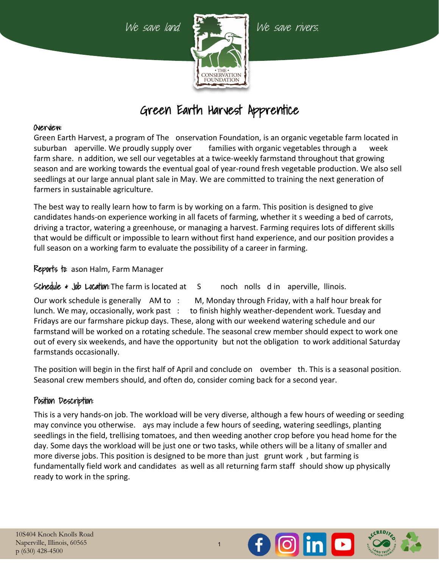

# Green Earth Harvest Apprentice

### Overview:

Green Earth Harvest, a program of The onservation Foundation, is an organic vegetable farm located in suburban aperville. We proudly supply over families with organic vegetables through a week farm share. In addition, we sell our vegetables at a twice-weekly farmstand throughout that growing season and are working towards the eventual goal of year-round fresh vegetable production. We also sell seedlings at our large annual plant sale in May. We are committed to training the next generation of farmers in sustainable agriculture.

The best way to really learn how to farm is by working on a farm. This position is designed to give candidates hands-on experience working in all facets of farming, whether it s weeding a bed of carrots, driving a tractor, watering a greenhouse, or managing a harvest. Farming requires lots of different skills that would be difficult or impossible to learn without first hand experience, and our position provides a full season on a working farm to evaluate the possibility of a career in farming.

Reports to: ason Halm, Farm Manager

Schedule  $\ast$  Job Location: The farm is located at  $\phantom{0}5$  noch nolls d in aperville, Ilinois.

Our work schedule is generally  $\Delta M$  to  $\therefore$  M, Monday through Friday, with a half hour break for lunch. We may, occasionally, work past : to finish highly weather-dependent work. Tuesday and Fridays are our farmshare pickup days. These, along with our weekend watering schedule and our farmstand will be worked on a rotating schedule. The seasonal crew member should expect to work one out of every six weekends, and have the opportunity but not the obligation to work additional Saturday farmstands occasionally.

The position will begin in the first half of April and conclude on ovember th. This is a seasonal position. Seasonal crew members should, and often do, consider coming back for a second year.

## Position Description:

This is a very hands-on job. The workload will be very diverse, although a few hours of weeding or seeding may convince you otherwise. ays may include a few hours of seeding, watering seedlings, planting seedlings in the field, trellising tomatoes, and then weeding another crop before you head home for the day. Some days the workload will be just one or two tasks, while others will be a litany of smaller and more diverse jobs. This position is designed to be more than just grunt work, but farming is fundamentally field work and candidates as well as all returning farm staff should show up physically ready to work in the spring.

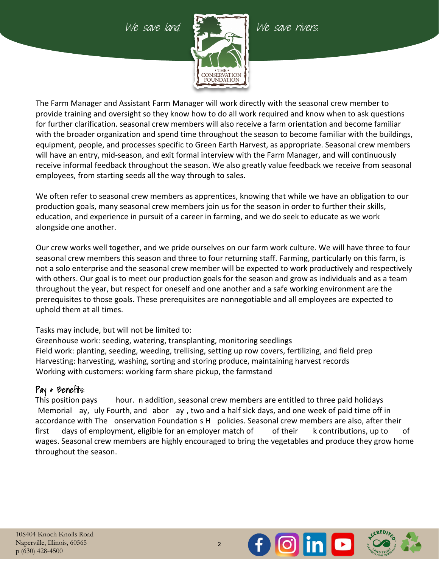

The Farm Manager and Assistant Farm Manager will work directly with the seasonal crew member to provide training and oversight so they know how to do all work required and know when to ask questions for further clarification. seasonal crew members will also receive a farm orientation and become familiar with the broader organization and spend time throughout the season to become familiar with the buildings, equipment, people, and processes specific to Green Earth Harvest, as appropriate. Seasonal crew members will have an entry, mid-season, and exit formal interview with the Farm Manager, and will continuously receive informal feedback throughout the season. We also greatly value feedback we receive from seasonal employees, from starting seeds all the way through to sales.

We often refer to seasonal crew members as apprentices, knowing that while we have an obligation to our production goals, many seasonal crew members join us for the season in order to further their skills, education, and experience in pursuit of a career in farming, and we do seek to educate as we work alongside one another.

Our crew works well together, and we pride ourselves on our farm work culture. We will have three to four seasonal crew members this season and three to four returning staff. Farming, particularly on this farm, is not a solo enterprise and the seasonal crew member will be expected to work productively and respectively with others. Our goal is to meet our production goals for the season and grow as individuals and as a team throughout the year, but respect for oneself and one another and a safe working environment are the prerequisites to those goals. These prerequisites are nonnegotiable and all employees are expected to uphold them at all times.

Tasks may include, but will not be limited to:

Greenhouse work: seeding, watering, transplanting, monitoring seedlings Field work: planting, seeding, weeding, trellising, setting up row covers, fertilizing, and field prep Harvesting: harvesting, washing, sorting and storing produce, maintaining harvest records Working with customers: working farm share pickup, the farmstand

# Pay & Benefits:

This position pays hour. In addition, seasonal crew members are entitled to three paid holidays Memorial ay, uly Fourth, and abor ay, two and a half sick days, and one week of paid time off in accordance with The onservation Foundation s H policies. Seasonal crew members are also, after their first days of employment, eligible for an employer match of  $\qquad$  of their  $\qquad$  k contributions, up to  $\qquad$  of wages. Seasonal crew members are highly encouraged to bring the vegetables and produce they grow home throughout the season.